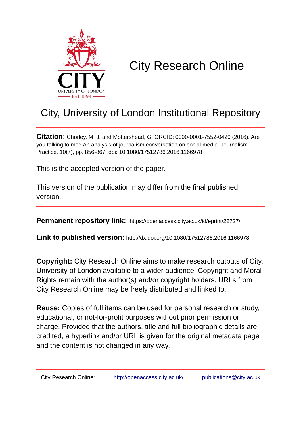

# City Research Online

## City, University of London Institutional Repository

**Citation**: Chorley, M. J. and Mottershead, G. ORCID: 0000-0001-7552-0420 (2016). Are you talking to me? An analysis of journalism conversation on social media. Journalism Practice, 10(7), pp. 856-867. doi: 10.1080/17512786.2016.1166978

This is the accepted version of the paper.

This version of the publication may differ from the final published version.

**Permanent repository link:** https://openaccess.city.ac.uk/id/eprint/22727/

**Link to published version**: http://dx.doi.org/10.1080/17512786.2016.1166978

**Copyright:** City Research Online aims to make research outputs of City, University of London available to a wider audience. Copyright and Moral Rights remain with the author(s) and/or copyright holders. URLs from City Research Online may be freely distributed and linked to.

**Reuse:** Copies of full items can be used for personal research or study, educational, or not-for-profit purposes without prior permission or charge. Provided that the authors, title and full bibliographic details are credited, a hyperlink and/or URL is given for the original metadata page and the content is not changed in any way.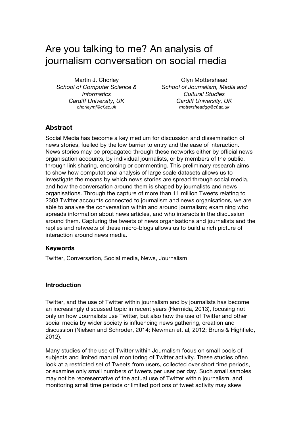## Are you talking to me? An analysis of journalism conversation on social media

Martin J. Chorley *School of Computer Science & Informatics Cardiff University, UK chorleymj@cf.ac.uk*

Glyn Mottershead *School of Journalism, Media and Cultural Studies Cardiff University, UK mottersheadgg@cf.ac.uk*

## **Abstract**

Social Media has become a key medium for discussion and dissemination of news stories, fuelled by the low barrier to entry and the ease of interaction. News stories may be propagated through these networks either by official news organisation accounts, by individual journalists, or by members of the public, through link sharing, endorsing or commenting. This preliminary research aims to show how computational analysis of large scale datasets allows us to investigate the means by which news stories are spread through social media, and how the conversation around them is shaped by journalists and news organisations. Through the capture of more than 11 million Tweets relating to 2303 Twitter accounts connected to journalism and news organisations, we are able to analyse the conversation within and around journalism; examining who spreads information about news articles, and who interacts in the discussion around them. Capturing the tweets of news organisations and journalists and the replies and retweets of these micro-blogs allows us to build a rich picture of interaction around news media.

## **Keywords**

Twitter, Conversation, Social media, News, Journalism

## **Introduction**

Twitter, and the use of Twitter within journalism and by journalists has become an increasingly discussed topic in recent years (Hermida, 2013), focusing not only on how Journalists use Twitter, but also how the use of Twitter and other social media by wider society is influencing news gathering, creation and discussion (Nielsen and Schrøder, 2014; Newman et. al, 2012; Bruns & Highfield, 2012).

Many studies of the use of Twitter within Journalism focus on small pools of subjects and limited manual monitoring of Twitter activity. These studies often look at a restricted set of Tweets from users, collected over short time periods, or examine only small numbers of tweets per user per day. Such small samples may not be representative of the actual use of Twitter within journalism, and monitoring small time periods or limited portions of tweet activity may skew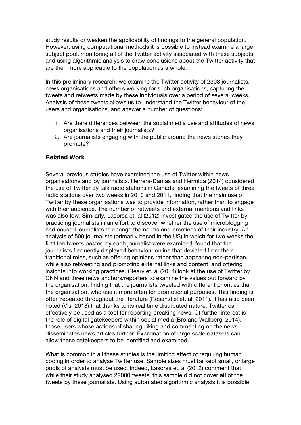study results or weaken the applicability of findings to the general population. However, using computational methods it is possible to instead examine a large subject pool, monitoring all of the Twitter activity associated with these subjects, and using algorithmic analysis to draw conclusions about the Twitter activity that are then more applicable to the population as a whole.

In this preliminary research, we examine the Twitter activity of 2303 journalists, news organisations and others working for such organisations, capturing the tweets and retweets made by these individuals over a period of several weeks. Analysis of these tweets allows us to understand the Twitter behaviour of the users and organisations, and answer a number of questions:

- 1. Are there differences between the social media use and attitudes of news organisations and their journalists?
- 2. Are journalists engaging with the public around the news stories they promote?

## **Related Work**

Several previous studies have examined the use of Twitter within news organisations and by journalists. Herrera-Damas and Hermida (2014) considered the use of Twitter by talk radio stations in Canada, examining the tweets of three radio stations over two weeks in 2010 and 2011, finding that the main use of Twitter by these organisations was to provide information, rather than to engage with their audience. The number of retweets and external mentions and links was also low. Similarly, Lasorsa et. al (2012) investigated the use of Twitter by practicing journalists in an effort to discover whether the use of microblogging had caused journalists to change the norms and practices of their industry. An analysis of 500 journalists (primarily based in the US) in which for two weeks the first ten tweets posted by each journalist were examined, found that the journalists frequently displayed behaviour online that deviated from their traditional roles, such as offering opinions rather than appearing non-partisan, while also retweeting and promoting external links and content, and offering insights into working practices. Cleary et. al (2014) look at the use of Twitter by CNN and three news anchors/reporters to examine the values put forward by the organisation, finding that the journalists tweeted with different priorities than the organisation, who use it more often for promotional purposes. This finding is often repeated throughout the literature (Rosenstiel et. al, 2011). It has also been noted (Vis, 2013) that thanks to its real time distributed nature, Twitter can effectively be used as a tool for reporting breaking news. Of further interest is the role of digital gatekeepers within social media (Bro and Wallberg, 2014), those users whose actions of sharing, liking and commenting on the news disseminates news articles further. Examination of large scale datasets can allow these gatekeepers to be identified and examined.

What is common in all these studies is the limiting effect of requiring human coding in order to analyse Twitter use. Sample sizes must be kept small, or large pools of analysts must be used. Indeed, Lasorsa et. al (2012) comment that while their study analysed 22000 tweets, this sample did not cover **all** of the tweets by these journalists. Using automated algorithmic analysis it is possible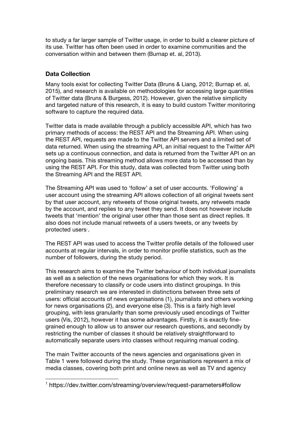to study a far larger sample of Twitter usage, in order to build a clearer picture of its use. Twitter has often been used in order to examine communities and the conversation within and between them (Burnap et. al, 2013).

## **Data Collection**

Many tools exist for collecting Twitter Data (Bruns & Liang, 2012; Burnap et. al, 2015), and research is available on methodologies for accessing large quantities of Twitter data (Bruns & Burgess, 2012). However, given the relative simplicity and targeted nature of this research, it is easy to build custom Twitter monitoring software to capture the required data.

Twitter data is made available through a publicly accessible API, which has two primary methods of access: the REST API and the Streaming API. When using the REST API, requests are made to the Twitter API servers and a limited set of data returned. When using the streaming API, an initial request to the Twitter API sets up a continuous connection, and data is returned from the Twitter API on an ongoing basis. This streaming method allows more data to be accessed than by using the REST API. For this study, data was collected from Twitter using both the Streaming API and the REST API.

The Streaming API was used to 'follow' a set of user accounts. 'Following' a user account using the streaming API allows collection of all original tweets sent by that user account, any retweets of those original tweets, any retweets made by the account, and replies to any tweet they send. It does not however include tweets that 'mention' the original user other than those sent as direct replies. It also does not include manual retweets of a users tweets, or any tweets by protected users<sup>®</sup>.

The REST API was used to access the Twitter profile details of the followed user accounts at regular intervals, in order to monitor profile statistics, such as the number of followers, during the study period.

This research aims to examine the Twitter behaviour of both individual journalists as well as a selection of the news organisations for which they work. It is therefore necessary to classify or code users into distinct groupings. In this preliminary research we are interested in distinctions between three sets of users: official accounts of news organisations (1), journalists and others working for news organisations (2), and everyone else (3). This is a fairly high level grouping, with less granularity than some previously used encodings of Twitter users (Vis, 2012), however it has some advantages. Firstly, it is exactly finegrained enough to allow us to answer our research questions, and secondly by restricting the number of classes it should be relatively straightforward to automatically separate users into classes without requiring manual coding.

The main Twitter accounts of the news agencies and organisations given in Table 1 were followed during the study. These organisations represent a mix of media classes, covering both print and online news as well as TV and agency

<sup>&</sup>lt;sup>1</sup> https://dev.twitter.com/streaming/overview/request-parameters#follow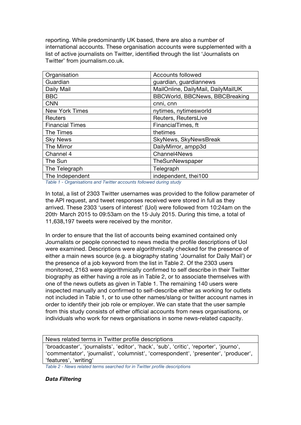reporting. While predominantly UK based, there are also a number of international accounts. These organisation accounts were supplemented with a list of active journalists on Twitter, identified through the list 'Journalists on Twitter' from journalism.co.uk.

| Organisation           | Accounts followed                     |
|------------------------|---------------------------------------|
| Guardian               | guardian, guardiannews                |
| Daily Mail             | MailOnline, DailyMail, DailyMailUK    |
| <b>BBC</b>             | <b>BBCWorld, BBCNews, BBCBreaking</b> |
| <b>CNN</b>             | cnni, cnn                             |
| <b>New York Times</b>  | nytimes, nytimesworld                 |
| <b>Reuters</b>         | Reuters, ReutersLive                  |
| <b>Financial Times</b> | FinancialTimes, ft                    |
| The Times              | thetimes                              |
| <b>Sky News</b>        | SkyNews, SkyNewsBreak                 |
| The Mirror             | DailyMirror, ampp3d                   |
| Channel 4              | Channel4News                          |
| The Sun                | TheSunNewspaper                       |
| The Telegraph          | Telegraph                             |
| The Independent        | independent, thei100                  |

*Table 1 - Organisations and Twitter accounts followed during study*

In total, a list of 2303 Twitter usernames was provided to the follow parameter of the API request, and tweet responses received were stored in full as they arrived. These 2303 'users of interest' (UoI) were followed from 10:24am on the 20th March 2015 to 09:53am on the 15-July 2015. During this time, a total of 11,638,197 tweets were received by the monitor.

In order to ensure that the list of accounts being examined contained only Journalists or people connected to news media the profile descriptions of UoI were examined. Descriptions were algorithmically checked for the presence of either a main news source (e.g. a biography stating 'Journalist for Daily Mail') or the presence of a job keyword from the list in Table 2. Of the 2303 users monitored, 2163 were algorithmically confirmed to self describe in their Twitter biography as either having a role as in Table 2, or to associate themselves with one of the news outlets as given in Table 1. The remaining 140 users were inspected manually and confirmed to self-describe either as working for outlets not included in Table 1, or to use other names/slang or twitter account names in order to identify their job role or employer. We can state that the user sample from this study consists of either official accounts from news organisations, or individuals who work for news organisations in some news-related capacity.

News related terms in Twitter profile descriptions

'broadcaster', 'journalists', 'editor', 'hack', 'sub', 'critic', 'reporter', 'journo', 'commentator', 'journalist', 'columnist', 'correspondent', 'presenter', 'producer', 'features', 'writing'

*Table 2 - News related terms searched for in Twitter profile descriptions*

*Data Filtering*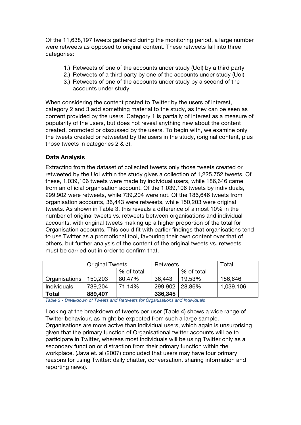Of the 11,638,197 tweets gathered during the monitoring period, a large number were retweets as opposed to original content. These retweets fall into three categories:

- 1.) Retweets of one of the accounts under study (UoI) by a third party
- 2.) Retweets of a third party by one of the accounts under study (UoI)
- 3.) Retweets of one of the accounts under study by a second of the accounts under study

When considering the content posted to Twitter by the users of interest, category 2 and 3 add something material to the study, as they can be seen as content provided by the users. Category 1 is partially of interest as a measure of popularity of the users, but does not reveal anything new about the content created, promoted or discussed by the users. To begin with, we examine only the tweets created or retweeted by the users in the study, (original content, plus those tweets in categories 2 & 3).

## **Data Analysis**

Extracting from the dataset of collected tweets only those tweets created or retweeted by the UoI within the study gives a collection of 1,225,752 tweets. Of these, 1,039,106 tweets were made by individual users, while 186,646 came from an official organisation account. Of the 1,039,106 tweets by individuals, 299,902 were retweets, while 739,204 were not. Of the 186,646 tweets from organisation accounts, 36,443 were retweets, while 150,203 were original tweets. As shown in Table 3, this reveals a difference of almost 10% in the number of original tweets vs. retweets between organisations and individual accounts, with original tweets making up a higher proportion of the total for Organisation accounts. This could fit with earlier findings that organisations tend to use Twitter as a promotional tool, favouring their own content over that of others, but further analysis of the content of the original tweets vs. retweets must be carried out in order to confirm that.

|                    | <b>Original Tweets</b> |            | Retweets |            | Total     |
|--------------------|------------------------|------------|----------|------------|-----------|
|                    |                        | % of total |          | % of total |           |
| Organisations      | 150,203                | 80.47%     | 36,443   | 19.53%     | 186,646   |
| <b>Individuals</b> | 739.204                | 71.14%     | 299,902  | 28.86%     | 1,039,106 |
| Total              | 889,407                |            | 336,345  |            |           |

*Table 3 - Breakdown of Tweets and Retweets for Organisations and Individuals*

Looking at the breakdown of tweets per user (Table 4) shows a wide range of Twitter behaviour, as might be expected from such a large sample. Organisations are more active than individual users, which again is unsurprising given that the primary function of Organisational twitter accounts will be to participate in Twitter, whereas most individuals will be using Twitter only as a secondary function or distraction from their primary function within the workplace. (Java et. al (2007) concluded that users may have four primary reasons for using Twitter: daily chatter, conversation, sharing information and reporting news).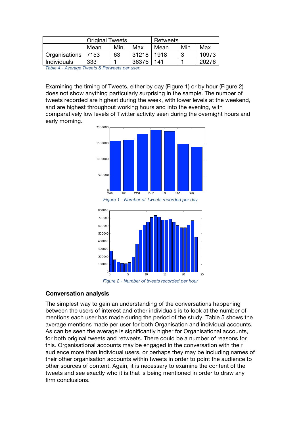|                      | <b>Original Tweets</b> |                    |       | Retweets |     |       |  |
|----------------------|------------------------|--------------------|-------|----------|-----|-------|--|
|                      | Mean                   | Min<br>Max<br>Mean |       | Min      | Max |       |  |
| Organisations   7153 |                        | 63                 | 31218 | 1918     | ດ   | 10973 |  |
| Individuals          | 333                    |                    | 36376 | 141      |     | 20276 |  |
| _                    | .                      |                    |       |          |     |       |  |

*Table 4 - Average Tweets & Retweets per user.* 

Examining the timing of Tweets, either by day (Figure 1) or by hour (Figure 2) does not show anything particularly surprising in the sample. The number of tweets recorded are highest during the week, with lower levels at the weekend, and are highest throughout working hours and into the evening, with comparatively low levels of Twitter activity seen during the overnight hours and early morning.







*Figure 2 - Number of tweets recorded per hour*

#### **Conversation analysis**

The simplest way to gain an understanding of the conversations happening between the users of interest and other individuals is to look at the number of mentions each user has made during the period of the study. Table 5 shows the average mentions made per user for both Organisation and individual accounts. As can be seen the average is significantly higher for Organisational accounts, for both original tweets and retweets. There could be a number of reasons for this. Organisational accounts may be engaged in the conversation with their audience more than individual users, or perhaps they may be including names of their other organisation accounts within tweets in order to point the audience to other sources of content. Again, it is necessary to examine the content of the tweets and see exactly who it is that is being mentioned in order to draw any firm conclusions.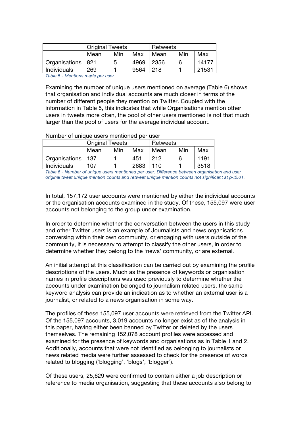|                    | <b>Original Tweets</b> |     |      | Retweets |     |       |  |
|--------------------|------------------------|-----|------|----------|-----|-------|--|
|                    | Mean                   | Min | Max  | Mean     | Min | Max   |  |
| Organisations      | -821                   | 5   | 4969 | 2356     | 6   | 14177 |  |
| <b>Individuals</b> | 269                    |     | 9564 | 218      |     | 21531 |  |

*Table 5 - Mentions made per user.* 

Examining the number of unique users mentioned on average (Table 6) shows that organisation and individual accounts are much closer in terms of the number of different people they mention on Twitter. Coupled with the information in Table 5, this indicates that while Organisations mention other users in tweets more often, the pool of other users mentioned is not that much larger than the pool of users for the average individual account.

Number of unique users mentioned per user

|                    | <b>Original Tweets</b> |     |      | Retweets |     |      |
|--------------------|------------------------|-----|------|----------|-----|------|
|                    | Mean                   | Min | Max  | Mean     | Min | Max  |
| Organisations      | 137                    |     | 451  | 212      | 6   | 1191 |
| <b>Individuals</b> | 107                    |     | 2683 | 110      |     | 3518 |

*Table 6 - Number of unique users mentioned per user. Difference between organisation and user original tweet unique mention counts and retweet unique mention counts not significant at p<0.01.* 

In total, 157,172 user accounts were mentioned by either the individual accounts or the organisation accounts examined in the study. Of these, 155,097 were user accounts not belonging to the group under examination.

In order to determine whether the conversation between the users in this study and other Twitter users is an example of Journalists and news organisations conversing within their own community, or engaging with users outside of the community, it is necessary to attempt to classify the other users, in order to determine whether they belong to the 'news' community, or are external.

An initial attempt at this classification can be carried out by examining the profile descriptions of the users. Much as the presence of keywords or organisation names in profile descriptions was used previously to determine whether the accounts under examination belonged to journalism related users, the same keyword analysis can provide an indication as to whether an external user is a journalist, or related to a news organisation in some way.

The profiles of these 155,097 user accounts were retrieved from the Twitter API. Of the 155,097 accounts, 3,019 accounts no longer exist as of the analysis in this paper, having either been banned by Twitter or deleted by the users themselves. The remaining 152,078 account profiles were accessed and examined for the presence of keywords and organisations as in Table 1 and 2. Additionally, accounts that were not identified as belonging to journalists or news related media were further assessed to check for the presence of words related to blogging ('blogging', 'blogs', 'blogger').

Of these users, 25,629 were confirmed to contain either a job description or reference to media organisation, suggesting that these accounts also belong to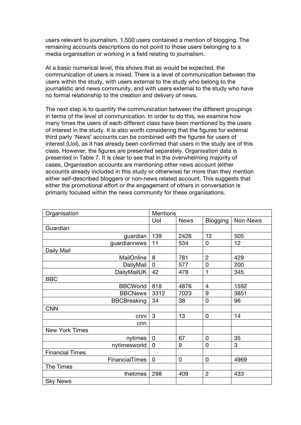users relevant to journalism. 1,500 users contained a mention of blogging. The remaining accounts descriptions do not point to those users belonging to a media organisation or working in a field relating to journalism.

At a basic numerical level, this shows that as would be expected, the communication of users is mixed. There is a level of communication between the users within the study, with users external to the study who belong to the journalistic and news community, and with users external to the study who have no formal relationship to the creation and delivery of news.

The next step is to quantify the communication between the different groupings in terms of the level of communication. In order to do this, we examine how many times the users of each different class have been mentioned by the users of interest in the study. It is also worth considering that the figures for external third party 'News' accounts can be combined with the figures for users of interest (UoI), as it has already been confirmed that users in the study are of this class. However, the figures are presented separately. Organisation data is presented in Table 7. It is clear to see that in the overwhelming majority of cases, Organisation accounts are mentioning other news account (either accounts already included in this study or otherwise) far more than they mention either self-described bloggers or non-news related account. This suggests that either the promotional effort or the engagement of others in conversation is primarily focused within the news community for these organisations.

| Organisation           | <b>Mentions</b> |             |                |          |
|------------------------|-----------------|-------------|----------------|----------|
|                        | Uol             | <b>News</b> | Blogging       | Non-News |
| Guardian               |                 |             |                |          |
| guardian               | 139             | 2426        | 12             | 505      |
| guardiannews           | 11              | 534         | 0              | 12       |
| Daily Mail             |                 |             |                |          |
| MailOnline             | 8               | 781         | $\overline{2}$ | 429      |
| DailyMail              | $\overline{0}$  | 577         | $\mathbf 0$    | 200      |
| <b>DailyMailUK</b>     | 42              | 478         | 1              | 345      |
| <b>BBC</b>             |                 |             |                |          |
| <b>BBCWorld</b>        | 818             | 4876        | $\overline{4}$ | 1592     |
| <b>BBCNews</b>         | 3312            | 7023        | 9              | 3851     |
| <b>BBCBreaking</b>     | 34              | 38          | $\mathbf 0$    | 96       |
| <b>CNN</b>             |                 |             |                |          |
| cnni                   | 3               | 13          | $\mathbf 0$    | 14       |
| cnn                    |                 |             |                |          |
| <b>New York Times</b>  |                 |             |                |          |
| nytimes                | $\overline{0}$  | 67          | $\overline{0}$ | 35       |
| nytimesworld           | $\mathbf 0$     | 9           | $\mathbf 0$    | 3        |
| <b>Financial Times</b> |                 |             |                |          |
| <b>FinancialTimes</b>  | $\mathbf 0$     | $\mathbf 0$ | $\mathbf 0$    | 4969     |
| The Times              |                 |             |                |          |
| thetimes               | 298             | 409         | $\overline{2}$ | 433      |
| <b>Sky News</b>        |                 |             |                |          |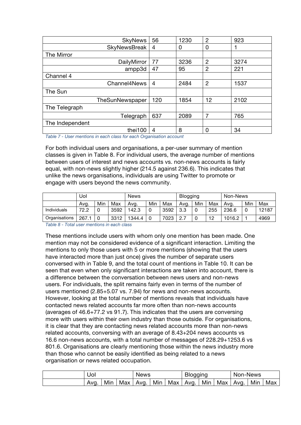|                 | <b>SkyNews</b>      | 56  | 1230 | $\overline{2}$ | 923  |
|-----------------|---------------------|-----|------|----------------|------|
|                 | <b>SkyNewsBreak</b> | 4   | 0    | 0              |      |
| The Mirror      |                     |     |      |                |      |
|                 | DailyMirror         | 77  | 3236 | $\overline{2}$ | 3274 |
|                 | ampp3d              | 47  | 95   | $\overline{2}$ | 221  |
| Channel 4       |                     |     |      |                |      |
|                 | Channel4News        | 4   | 2484 | $\overline{2}$ | 1537 |
| The Sun         |                     |     |      |                |      |
|                 | TheSunNewspaper     | 120 | 1854 | 12             | 2102 |
| The Telegraph   |                     |     |      |                |      |
|                 | Telegraph           | 637 | 2089 | 7              | 765  |
| The Independent |                     |     |      |                |      |
|                 | thei100             | 4   | 8    | 0              | 34   |

*Table 7 - User mentions in each class for each Organisation account*

For both individual users and organisations, a per-user summary of mention classes is given in Table 8. For individual users, the average number of mentions between users of interest and news accounts vs. non-news accounts is fairly equal, with non-news slightly higher (214.5 against 236.6). This indicates that unlike the news organisations, individuals are using Twitter to promote or engage with users beyond the news community.

|                    | Uol  |     |      | News   |     |      | <b>Blogging</b> |     |     | Non-News |     |       |
|--------------------|------|-----|------|--------|-----|------|-----------------|-----|-----|----------|-----|-------|
|                    | Avg. | Min | Max  | Avg.   | Min | Max  | Ava.            | Min | Max | Ava.     | Min | Max   |
| <b>Individuals</b> | 72.2 |     | 3592 | 142.3  | 0   | 3592 | 3.3             |     | 255 | 236.6    |     | 12187 |
| Organisations      | 267. | 0   | 3312 | 1344.4 | 0   | 7023 | 2.7             |     | 12  | 1016.2   |     | 4969  |

*Table 8 - Total user mentions in each class*

These mentions include users with whom only one mention has been made. One mention may not be considered evidence of a significant interaction. Limiting the mentions to only those users with 5 or more mentions (showing that the users have interacted more than just once) gives the number of separate users conversed with in Table 9, and the total count of mentions in Table 10. It can be seen that even when only significant interactions are taken into account, there is a difference between the conversation between news users and non-news users. For individuals, the split remains fairly even in terms of the number of users mentioned (2.85+5.07 vs. 7.94) for news and non-news accounts. However, looking at the total number of mentions reveals that individuals have contacted news related accounts far more often than non-news accounts (averages of 46.6+77.2 vs 91.7). This indicates that the users are conversing more with users within their own industry than those outside. For organisations, it is clear that they are contacting news related accounts more than non-news related accounts, conversing with an average of 8.43+204 news accounts vs 16.6 non-news accounts, with a total number of messages of 228.29+1253.6 vs 801.6. Organisations are clearly mentioning those within the news industry more than those who cannot be easily identified as being related to a news organisation or news related occupation.

| Uol  |     |     | <b>News</b> |     |     | <b>Blogging</b> |     |     | Non-News |     |     |
|------|-----|-----|-------------|-----|-----|-----------------|-----|-----|----------|-----|-----|
| Ava. | Min | Max | Ava.        | Min | Max | Avg.            | Min | Max | Ava.     | Min | Max |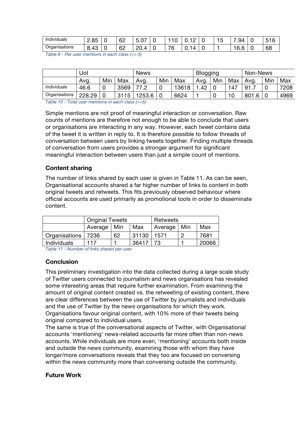| .<br>. .<br>Individuals | $\Omega$<br>∽<br>د.ںء       | ╰ | 60<br>ο∠<br>and the contract of the contract of | $\sim$ $\sim$<br>h<br>O.U | -        | ັ              | ັ | $\overline{\phantom{0}}$<br>$\sim$<br>uΔ<br>$\cdot$ |    | г.,<br>$\sqrt{2}$<br>∽<br><br>ັ<br>╰ |
|-------------------------|-----------------------------|---|-------------------------------------------------|---------------------------|----------|----------------|---|-----------------------------------------------------|----|--------------------------------------|
| Organisations           | $\sqrt{2}$<br>o<br>+ບ<br>v. | ╰ | 60<br>◡∠                                        | nr<br>Δ<br>20.            | 76<br>۰. | $\overline{ }$ |   | $\epsilon$<br>v.v                                   | ۰. | 68                                   |

*Table 9 - Per user mentions in each class (>= 5)*

|               | Uol    |     |      | <b>News</b> |     |       | Blogging |     |     | Non-News |     |      |
|---------------|--------|-----|------|-------------|-----|-------|----------|-----|-----|----------|-----|------|
|               | Avg.   | Min | Max  | Avg.        | Min | Max   | Avg.     | Min | Max | Ava.     | Min | Max  |
| Individuals   | 46.6   |     | 3569 | 77 O        |     | 13618 | .42      |     | 147 | 91       | 0   | 7208 |
| Organisations | 228.29 |     | 3115 | 1253.6      |     | 6624  |          |     | 10  | 801.6    |     | 4969 |

*Table 10 - Total user mentions in each class (>=5)*

Simple mentions are not proof of meaningful interaction or conversation. Raw counts of mentions are therefore not enough to be able to conclude that users or organisations are interacting in any way. However, each tweet contains data of the tweet it is written in reply to. It is therefore possible to follow threads of conversation between users by linking tweets together. Finding multiple threads of conversation from users provides a stronger argument for significant meaningful interaction between users than just a simple count of mentions.

#### **Content sharing**

The number of links shared by each user is given in Table 11. As can be seen, Organisational accounts shared a far higher number of links to content in both original tweets and retweets. This fits previously observed behaviour where official accounts are used primarily as promotional tools in order to disseminate content.

|                      | <b>Original Tweets</b> |    |       | Retweets      |  |       |  |
|----------------------|------------------------|----|-------|---------------|--|-------|--|
|                      | Average   Min          |    | Max   | Average   Min |  | Max   |  |
| Organisations   7236 |                        | 62 | 31130 | 1571          |  | 7681  |  |
| <b>Individuals</b>   | 117                    |    | 36417 | - 73          |  | 20066 |  |

*Table 11 - Number of links shared per user*

## **Conclusion**

This preliminary investigation into the data collected during a large scale study of Twitter users connected to journalism and news organisations has revealed some interesting areas that require further examination. From examining the amount of original content created vs. the retweeting of existing content, there are clear differences between the use of Twitter by journalists and individuals and the use of Twitter by the news organisations for which they work. Organisations favour original content, with 10% more of their tweets being original compared to individual users.

The same is true of the conversational aspects of Twitter, with Organisational accounts 'mentioning' news-related accounts far more often than non-news accounts. While individuals are more even, 'mentioning' accounts both inside and outside the news community, examining those with whom they have longer/more conversations reveals that they too are focused on conversing within the news community more than conversing outside the community.

#### **Future Work**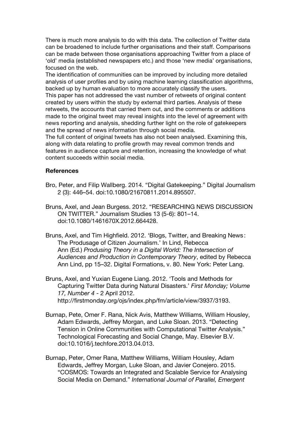There is much more analysis to do with this data. The collection of Twitter data can be broadened to include further organisations and their staff. Comparisons can be made between those organisations approaching Twitter from a place of 'old' media (established newspapers etc.) and those 'new media' organisations, focused on the web.

The identification of communities can be improved by including more detailed analysis of user profiles and by using machine learning classification algorithms, backed up by human evaluation to more accurately classify the users.

This paper has not addressed the vast number of retweets of original content created by users within the study by external third parties. Analysis of these retweets, the accounts that carried them out, and the comments or additions made to the original tweet may reveal insights into the level of agreement with news reporting and analysis, shedding further light on the role of gatekeepers and the spread of news information through social media.

The full content of original tweets has also not been analysed. Examining this, along with data relating to profile growth may reveal common trends and features in audience capture and retention, increasing the knowledge of what content succeeds within social media.

#### **References**

- Bro, Peter, and Filip Wallberg. 2014. "Digital Gatekeeping." Digital Journalism 2 (3): 446–54. doi:10.1080/21670811.2014.895507.
- Bruns, Axel, and Jean Burgess. 2012. "RESEARCHING NEWS DISCUSSION ON TWITTER." Journalism Studies 13 (5-6): 801–14. doi:10.1080/1461670X.2012.664428.
- Bruns, Axel, and Tim Highfield. 2012. 'Blogs, Twitter, and Breaking News : The Produsage of Citizen Journalism.' In Lind, Rebecca Ann (Ed.) *Produsing Theory in a Digital World: The Intersection of Audiences and Production in Contemporary Theory*, edited by Rebecca Ann Lind, pp 15–32. Digital Formations, v. 80. New York: Peter Lang.
- Bruns, Axel, and Yuxian Eugene Liang. 2012. 'Tools and Methods for Capturing Twitter Data during Natural Disasters.' *First Monday; Volume 17, Number 4* - 2 April 2012. http://firstmonday.org/ojs/index.php/fm/article/view/3937/3193.
- Burnap, Pete, Omer F. Rana, Nick Avis, Matthew Williams, William Housley, Adam Edwards, Jeffrey Morgan, and Luke Sloan. 2013. "Detecting Tension in Online Communities with Computational Twitter Analysis." Technological Forecasting and Social Change, May. Elsevier B.V. doi:10.1016/j.techfore.2013.04.013.
- Burnap, Peter, Omer Rana, Matthew Williams, William Housley, Adam Edwards, Jeffrey Morgan, Luke Sloan, and Javier Conejero. 2015. "COSMOS: Towards an Integrated and Scalable Service for Analysing Social Media on Demand." *International Journal of Parallel, Emergent*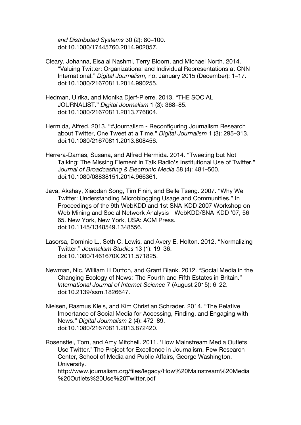*and Distributed Systems* 30 (2): 80–100. doi:10.1080/17445760.2014.902057.

- Cleary, Johanna, Eisa al Nashmi, Terry Bloom, and Michael North. 2014. "Valuing Twitter: Organizational and Individual Representations at CNN International." *Digital Journalism*, no. January 2015 (December): 1–17. doi:10.1080/21670811.2014.990255.
- Hedman, Ulrika, and Monika Djerf-Pierre. 2013. "THE SOCIAL JOURNALIST." *Digital Journalism* 1 (3): 368–85. doi:10.1080/21670811.2013.776804.
- Hermida, Alfred. 2013. "#Journalism Reconfiguring Journalism Research about Twitter, One Tweet at a Time." *Digital Journalism* 1 (3): 295–313. doi:10.1080/21670811.2013.808456.
- Herrera-Damas, Susana, and Alfred Hermida. 2014. "Tweeting but Not Talking: The Missing Element in Talk Radio's Institutional Use of Twitter." J*ournal of Broadcasting & Electronic Media* 58 (4): 481–500. doi:10.1080/08838151.2014.966361.
- Java, Akshay, Xiaodan Song, Tim Finin, and Belle Tseng. 2007. "Why We Twitter: Understanding Microblogging Usage and Communities." In Proceedings of the 9th WebKDD and 1st SNA-KDD 2007 Workshop on Web Mining and Social Network Analysis - WebKDD/SNA-KDD '07, 56– 65. New York, New York, USA: ACM Press. doi:10.1145/1348549.1348556.
- Lasorsa, Dominic L., Seth C. Lewis, and Avery E. Holton. 2012. "Normalizing Twitter." *Journalism Studies* 13 (1): 19–36. doi:10.1080/1461670X.2011.571825.
- Newman, Nic, William H Dutton, and Grant Blank. 2012. "Social Media in the Changing Ecology of News : The Fourth and Fifth Estates in Britain." *International Journal of Internet Science* 7 (August 2015): 6–22. doi:10.2139/ssrn.1826647.
- Nielsen, Rasmus Kleis, and Kim Christian Schrøder. 2014. "The Relative Importance of Social Media for Accessing, Finding, and Engaging with News." *Digital Journalism* 2 (4): 472–89. doi:10.1080/21670811.2013.872420.
- Rosenstiel, Tom, and Amy Mitchell. 2011. 'How Mainstream Media Outlets Use Twitter.' The Project for Excellence in Journalism. Pew Research Center, School of Media and Public Affairs, George Washington. University.

http://www.journalism.org/files/legacy/How%20Mainstream%20Media %20Outlets%20Use%20Twitter.pdf